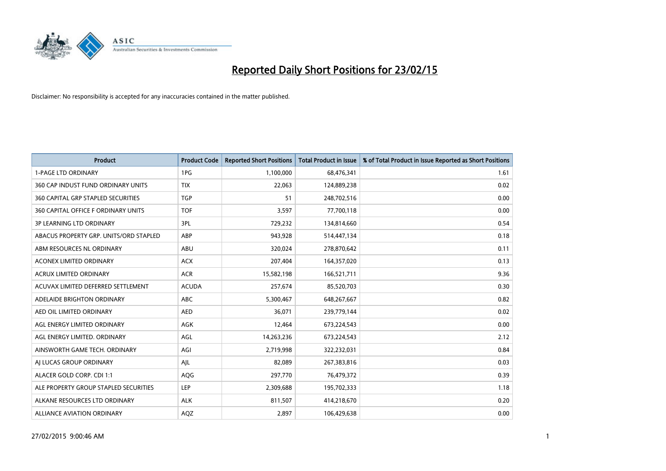

| <b>Product</b>                            | <b>Product Code</b> | <b>Reported Short Positions</b> | <b>Total Product in Issue</b> | % of Total Product in Issue Reported as Short Positions |
|-------------------------------------------|---------------------|---------------------------------|-------------------------------|---------------------------------------------------------|
| <b>1-PAGE LTD ORDINARY</b>                | 1PG                 | 1,100,000                       | 68,476,341                    | 1.61                                                    |
| 360 CAP INDUST FUND ORDINARY UNITS        | <b>TIX</b>          | 22,063                          | 124,889,238                   | 0.02                                                    |
| <b>360 CAPITAL GRP STAPLED SECURITIES</b> | <b>TGP</b>          | 51                              | 248,702,516                   | 0.00                                                    |
| 360 CAPITAL OFFICE F ORDINARY UNITS       | <b>TOF</b>          | 3,597                           | 77,700,118                    | 0.00                                                    |
| <b>3P LEARNING LTD ORDINARY</b>           | 3PL                 | 729,232                         | 134,814,660                   | 0.54                                                    |
| ABACUS PROPERTY GRP. UNITS/ORD STAPLED    | ABP                 | 943,928                         | 514,447,134                   | 0.18                                                    |
| ABM RESOURCES NL ORDINARY                 | ABU                 | 320,024                         | 278,870,642                   | 0.11                                                    |
| ACONEX LIMITED ORDINARY                   | <b>ACX</b>          | 207,404                         | 164,357,020                   | 0.13                                                    |
| <b>ACRUX LIMITED ORDINARY</b>             | <b>ACR</b>          | 15,582,198                      | 166,521,711                   | 9.36                                                    |
| ACUVAX LIMITED DEFERRED SETTLEMENT        | <b>ACUDA</b>        | 257,674                         | 85,520,703                    | 0.30                                                    |
| ADELAIDE BRIGHTON ORDINARY                | <b>ABC</b>          | 5,300,467                       | 648,267,667                   | 0.82                                                    |
| AED OIL LIMITED ORDINARY                  | <b>AED</b>          | 36,071                          | 239,779,144                   | 0.02                                                    |
| AGL ENERGY LIMITED ORDINARY               | AGK                 | 12,464                          | 673,224,543                   | 0.00                                                    |
| AGL ENERGY LIMITED. ORDINARY              | AGL                 | 14,263,236                      | 673,224,543                   | 2.12                                                    |
| AINSWORTH GAME TECH. ORDINARY             | AGI                 | 2,719,998                       | 322,232,031                   | 0.84                                                    |
| AI LUCAS GROUP ORDINARY                   | AJL                 | 82,089                          | 267,383,816                   | 0.03                                                    |
| ALACER GOLD CORP. CDI 1:1                 | AQG                 | 297,770                         | 76,479,372                    | 0.39                                                    |
| ALE PROPERTY GROUP STAPLED SECURITIES     | LEP                 | 2,309,688                       | 195,702,333                   | 1.18                                                    |
| ALKANE RESOURCES LTD ORDINARY             | <b>ALK</b>          | 811,507                         | 414,218,670                   | 0.20                                                    |
| ALLIANCE AVIATION ORDINARY                | AQZ                 | 2,897                           | 106,429,638                   | 0.00                                                    |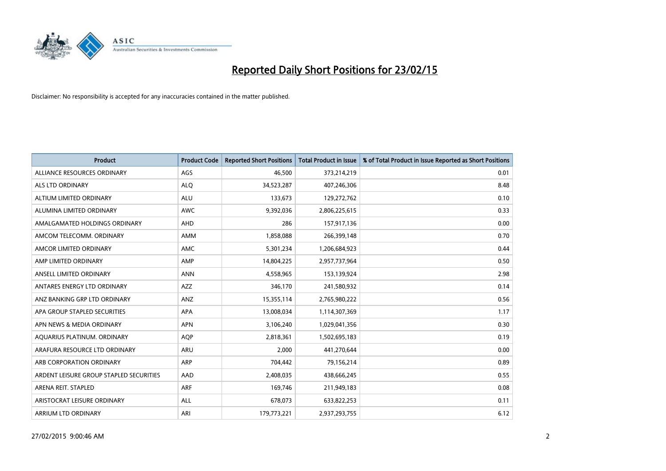

| <b>Product</b>                          | <b>Product Code</b> | <b>Reported Short Positions</b> | <b>Total Product in Issue</b> | % of Total Product in Issue Reported as Short Positions |
|-----------------------------------------|---------------------|---------------------------------|-------------------------------|---------------------------------------------------------|
| ALLIANCE RESOURCES ORDINARY             | AGS                 | 46,500                          | 373,214,219                   | 0.01                                                    |
| ALS LTD ORDINARY                        | <b>ALQ</b>          | 34,523,287                      | 407,246,306                   | 8.48                                                    |
| ALTIUM LIMITED ORDINARY                 | <b>ALU</b>          | 133,673                         | 129,272,762                   | 0.10                                                    |
| ALUMINA LIMITED ORDINARY                | <b>AWC</b>          | 9,392,036                       | 2,806,225,615                 | 0.33                                                    |
| AMALGAMATED HOLDINGS ORDINARY           | AHD                 | 286                             | 157,917,136                   | 0.00                                                    |
| AMCOM TELECOMM, ORDINARY                | AMM                 | 1,858,088                       | 266,399,148                   | 0.70                                                    |
| AMCOR LIMITED ORDINARY                  | AMC                 | 5,301,234                       | 1,206,684,923                 | 0.44                                                    |
| AMP LIMITED ORDINARY                    | AMP                 | 14,804,225                      | 2,957,737,964                 | 0.50                                                    |
| ANSELL LIMITED ORDINARY                 | <b>ANN</b>          | 4,558,965                       | 153,139,924                   | 2.98                                                    |
| ANTARES ENERGY LTD ORDINARY             | <b>AZZ</b>          | 346,170                         | 241,580,932                   | 0.14                                                    |
| ANZ BANKING GRP LTD ORDINARY            | ANZ                 | 15,355,114                      | 2,765,980,222                 | 0.56                                                    |
| APA GROUP STAPLED SECURITIES            | APA                 | 13,008,034                      | 1,114,307,369                 | 1.17                                                    |
| APN NEWS & MEDIA ORDINARY               | <b>APN</b>          | 3,106,240                       | 1,029,041,356                 | 0.30                                                    |
| AQUARIUS PLATINUM. ORDINARY             | <b>AOP</b>          | 2,818,361                       | 1,502,695,183                 | 0.19                                                    |
| ARAFURA RESOURCE LTD ORDINARY           | ARU                 | 2,000                           | 441,270,644                   | 0.00                                                    |
| ARB CORPORATION ORDINARY                | ARP                 | 704,442                         | 79,156,214                    | 0.89                                                    |
| ARDENT LEISURE GROUP STAPLED SECURITIES | AAD                 | 2,408,035                       | 438,666,245                   | 0.55                                                    |
| ARENA REIT. STAPLED                     | <b>ARF</b>          | 169,746                         | 211,949,183                   | 0.08                                                    |
| ARISTOCRAT LEISURE ORDINARY             | <b>ALL</b>          | 678,073                         | 633,822,253                   | 0.11                                                    |
| ARRIUM LTD ORDINARY                     | ARI                 | 179,773,221                     | 2,937,293,755                 | 6.12                                                    |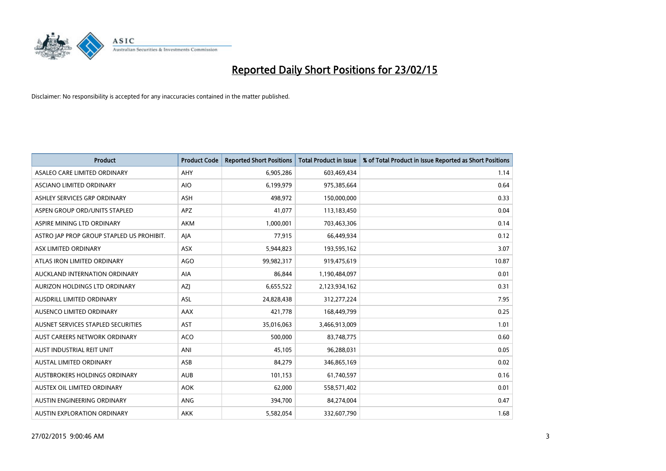

| <b>Product</b>                            | <b>Product Code</b> | <b>Reported Short Positions</b> | <b>Total Product in Issue</b> | % of Total Product in Issue Reported as Short Positions |
|-------------------------------------------|---------------------|---------------------------------|-------------------------------|---------------------------------------------------------|
| ASALEO CARE LIMITED ORDINARY              | AHY                 | 6,905,286                       | 603,469,434                   | 1.14                                                    |
| ASCIANO LIMITED ORDINARY                  | <b>AIO</b>          | 6,199,979                       | 975,385,664                   | 0.64                                                    |
| ASHLEY SERVICES GRP ORDINARY              | <b>ASH</b>          | 498,972                         | 150,000,000                   | 0.33                                                    |
| ASPEN GROUP ORD/UNITS STAPLED             | <b>APZ</b>          | 41,077                          | 113,183,450                   | 0.04                                                    |
| ASPIRE MINING LTD ORDINARY                | <b>AKM</b>          | 1,000,001                       | 703,463,306                   | 0.14                                                    |
| ASTRO JAP PROP GROUP STAPLED US PROHIBIT. | AJA                 | 77,915                          | 66,449,934                    | 0.12                                                    |
| ASX LIMITED ORDINARY                      | ASX                 | 5,944,823                       | 193,595,162                   | 3.07                                                    |
| ATLAS IRON LIMITED ORDINARY               | <b>AGO</b>          | 99,982,317                      | 919,475,619                   | 10.87                                                   |
| AUCKLAND INTERNATION ORDINARY             | AIA                 | 86,844                          | 1,190,484,097                 | 0.01                                                    |
| AURIZON HOLDINGS LTD ORDINARY             | AZJ                 | 6,655,522                       | 2,123,934,162                 | 0.31                                                    |
| AUSDRILL LIMITED ORDINARY                 | ASL                 | 24,828,438                      | 312,277,224                   | 7.95                                                    |
| AUSENCO LIMITED ORDINARY                  | AAX                 | 421,778                         | 168,449,799                   | 0.25                                                    |
| AUSNET SERVICES STAPLED SECURITIES        | <b>AST</b>          | 35,016,063                      | 3,466,913,009                 | 1.01                                                    |
| AUST CAREERS NETWORK ORDINARY             | <b>ACO</b>          | 500,000                         | 83,748,775                    | 0.60                                                    |
| AUST INDUSTRIAL REIT UNIT                 | ANI                 | 45,105                          | 96,288,031                    | 0.05                                                    |
| <b>AUSTAL LIMITED ORDINARY</b>            | ASB                 | 84,279                          | 346,865,169                   | 0.02                                                    |
| AUSTBROKERS HOLDINGS ORDINARY             | <b>AUB</b>          | 101,153                         | 61,740,597                    | 0.16                                                    |
| AUSTEX OIL LIMITED ORDINARY               | <b>AOK</b>          | 62,000                          | 558,571,402                   | 0.01                                                    |
| AUSTIN ENGINEERING ORDINARY               | ANG                 | 394,700                         | 84,274,004                    | 0.47                                                    |
| AUSTIN EXPLORATION ORDINARY               | <b>AKK</b>          | 5,582,054                       | 332,607,790                   | 1.68                                                    |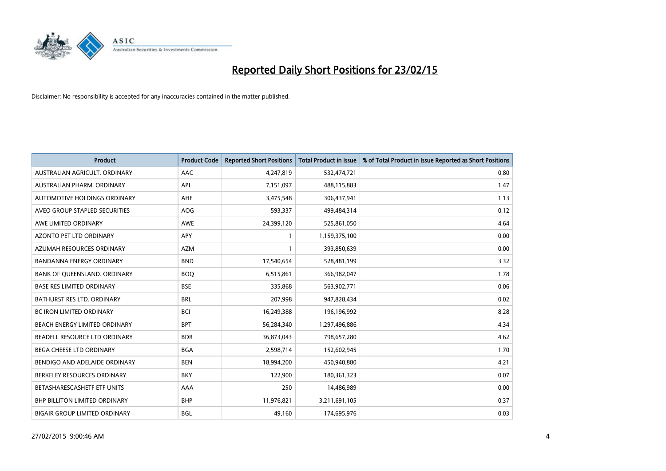

| <b>Product</b>                       | <b>Product Code</b> | <b>Reported Short Positions</b> | <b>Total Product in Issue</b> | % of Total Product in Issue Reported as Short Positions |
|--------------------------------------|---------------------|---------------------------------|-------------------------------|---------------------------------------------------------|
| AUSTRALIAN AGRICULT, ORDINARY        | AAC                 | 4,247,819                       | 532,474,721                   | 0.80                                                    |
| AUSTRALIAN PHARM. ORDINARY           | API                 | 7,151,097                       | 488,115,883                   | 1.47                                                    |
| AUTOMOTIVE HOLDINGS ORDINARY         | AHE                 | 3,475,548                       | 306,437,941                   | 1.13                                                    |
| AVEO GROUP STAPLED SECURITIES        | <b>AOG</b>          | 593,337                         | 499,484,314                   | 0.12                                                    |
| AWE LIMITED ORDINARY                 | AWE                 | 24,399,120                      | 525,861,050                   | 4.64                                                    |
| <b>AZONTO PET LTD ORDINARY</b>       | APY                 | 1                               | 1,159,375,100                 | 0.00                                                    |
| AZUMAH RESOURCES ORDINARY            | <b>AZM</b>          | 1                               | 393,850,639                   | 0.00                                                    |
| <b>BANDANNA ENERGY ORDINARY</b>      | <b>BND</b>          | 17,540,654                      | 528,481,199                   | 3.32                                                    |
| BANK OF QUEENSLAND. ORDINARY         | <b>BOQ</b>          | 6,515,861                       | 366,982,047                   | 1.78                                                    |
| <b>BASE RES LIMITED ORDINARY</b>     | <b>BSE</b>          | 335,868                         | 563,902,771                   | 0.06                                                    |
| BATHURST RES LTD. ORDINARY           | <b>BRL</b>          | 207,998                         | 947,828,434                   | 0.02                                                    |
| <b>BC IRON LIMITED ORDINARY</b>      | <b>BCI</b>          | 16,249,388                      | 196,196,992                   | 8.28                                                    |
| BEACH ENERGY LIMITED ORDINARY        | <b>BPT</b>          | 56,284,340                      | 1,297,496,886                 | 4.34                                                    |
| BEADELL RESOURCE LTD ORDINARY        | <b>BDR</b>          | 36,873,043                      | 798,657,280                   | 4.62                                                    |
| BEGA CHEESE LTD ORDINARY             | <b>BGA</b>          | 2,598,714                       | 152,602,945                   | 1.70                                                    |
| BENDIGO AND ADELAIDE ORDINARY        | <b>BEN</b>          | 18,994,200                      | 450,940,880                   | 4.21                                                    |
| BERKELEY RESOURCES ORDINARY          | <b>BKY</b>          | 122,900                         | 180,361,323                   | 0.07                                                    |
| BETASHARESCASHETF ETF UNITS          | AAA                 | 250                             | 14,486,989                    | 0.00                                                    |
| <b>BHP BILLITON LIMITED ORDINARY</b> | <b>BHP</b>          | 11,976,821                      | 3,211,691,105                 | 0.37                                                    |
| <b>BIGAIR GROUP LIMITED ORDINARY</b> | <b>BGL</b>          | 49,160                          | 174,695,976                   | 0.03                                                    |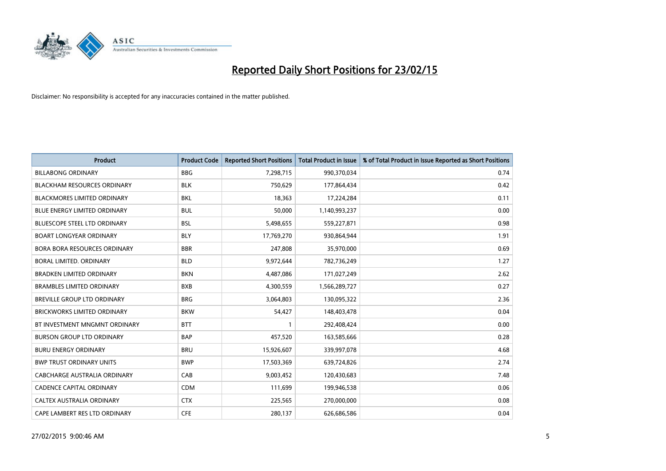

| <b>Product</b>                      | <b>Product Code</b> | <b>Reported Short Positions</b> | <b>Total Product in Issue</b> | % of Total Product in Issue Reported as Short Positions |
|-------------------------------------|---------------------|---------------------------------|-------------------------------|---------------------------------------------------------|
| <b>BILLABONG ORDINARY</b>           | <b>BBG</b>          | 7,298,715                       | 990,370,034                   | 0.74                                                    |
| <b>BLACKHAM RESOURCES ORDINARY</b>  | <b>BLK</b>          | 750,629                         | 177,864,434                   | 0.42                                                    |
| <b>BLACKMORES LIMITED ORDINARY</b>  | <b>BKL</b>          | 18,363                          | 17,224,284                    | 0.11                                                    |
| <b>BLUE ENERGY LIMITED ORDINARY</b> | <b>BUL</b>          | 50,000                          | 1,140,993,237                 | 0.00                                                    |
| <b>BLUESCOPE STEEL LTD ORDINARY</b> | <b>BSL</b>          | 5,498,655                       | 559,227,871                   | 0.98                                                    |
| <b>BOART LONGYEAR ORDINARY</b>      | <b>BLY</b>          | 17,769,270                      | 930,864,944                   | 1.91                                                    |
| BORA BORA RESOURCES ORDINARY        | <b>BBR</b>          | 247,808                         | 35,970,000                    | 0.69                                                    |
| BORAL LIMITED. ORDINARY             | <b>BLD</b>          | 9,972,644                       | 782,736,249                   | 1.27                                                    |
| <b>BRADKEN LIMITED ORDINARY</b>     | <b>BKN</b>          | 4,487,086                       | 171,027,249                   | 2.62                                                    |
| <b>BRAMBLES LIMITED ORDINARY</b>    | <b>BXB</b>          | 4,300,559                       | 1,566,289,727                 | 0.27                                                    |
| <b>BREVILLE GROUP LTD ORDINARY</b>  | <b>BRG</b>          | 3,064,803                       | 130,095,322                   | 2.36                                                    |
| BRICKWORKS LIMITED ORDINARY         | <b>BKW</b>          | 54,427                          | 148,403,478                   | 0.04                                                    |
| BT INVESTMENT MNGMNT ORDINARY       | <b>BTT</b>          | 1                               | 292,408,424                   | 0.00                                                    |
| <b>BURSON GROUP LTD ORDINARY</b>    | <b>BAP</b>          | 457,520                         | 163,585,666                   | 0.28                                                    |
| <b>BURU ENERGY ORDINARY</b>         | <b>BRU</b>          | 15,926,607                      | 339,997,078                   | 4.68                                                    |
| <b>BWP TRUST ORDINARY UNITS</b>     | <b>BWP</b>          | 17,503,369                      | 639,724,826                   | 2.74                                                    |
| CABCHARGE AUSTRALIA ORDINARY        | CAB                 | 9,003,452                       | 120,430,683                   | 7.48                                                    |
| <b>CADENCE CAPITAL ORDINARY</b>     | <b>CDM</b>          | 111,699                         | 199,946,538                   | 0.06                                                    |
| CALTEX AUSTRALIA ORDINARY           | <b>CTX</b>          | 225,565                         | 270,000,000                   | 0.08                                                    |
| CAPE LAMBERT RES LTD ORDINARY       | <b>CFE</b>          | 280,137                         | 626,686,586                   | 0.04                                                    |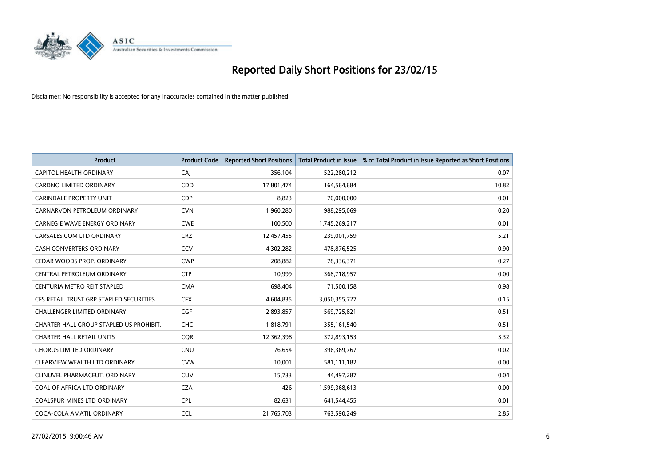

| <b>Product</b>                          | <b>Product Code</b> | <b>Reported Short Positions</b> | <b>Total Product in Issue</b> | % of Total Product in Issue Reported as Short Positions |
|-----------------------------------------|---------------------|---------------------------------|-------------------------------|---------------------------------------------------------|
| CAPITOL HEALTH ORDINARY                 | CAJ                 | 356,104                         | 522,280,212                   | 0.07                                                    |
| <b>CARDNO LIMITED ORDINARY</b>          | <b>CDD</b>          | 17,801,474                      | 164,564,684                   | 10.82                                                   |
| CARINDALE PROPERTY UNIT                 | <b>CDP</b>          | 8,823                           | 70,000,000                    | 0.01                                                    |
| CARNARVON PETROLEUM ORDINARY            | <b>CVN</b>          | 1,960,280                       | 988,295,069                   | 0.20                                                    |
| <b>CARNEGIE WAVE ENERGY ORDINARY</b>    | <b>CWE</b>          | 100,500                         | 1,745,269,217                 | 0.01                                                    |
| CARSALES.COM LTD ORDINARY               | <b>CRZ</b>          | 12,457,455                      | 239,001,759                   | 5.21                                                    |
| CASH CONVERTERS ORDINARY                | CCV                 | 4,302,282                       | 478,876,525                   | 0.90                                                    |
| CEDAR WOODS PROP. ORDINARY              | <b>CWP</b>          | 208,882                         | 78,336,371                    | 0.27                                                    |
| CENTRAL PETROLEUM ORDINARY              | <b>CTP</b>          | 10.999                          | 368,718,957                   | 0.00                                                    |
| CENTURIA METRO REIT STAPLED             | <b>CMA</b>          | 698,404                         | 71,500,158                    | 0.98                                                    |
| CFS RETAIL TRUST GRP STAPLED SECURITIES | <b>CFX</b>          | 4,604,835                       | 3,050,355,727                 | 0.15                                                    |
| CHALLENGER LIMITED ORDINARY             | <b>CGF</b>          | 2,893,857                       | 569,725,821                   | 0.51                                                    |
| CHARTER HALL GROUP STAPLED US PROHIBIT. | <b>CHC</b>          | 1,818,791                       | 355,161,540                   | 0.51                                                    |
| <b>CHARTER HALL RETAIL UNITS</b>        | <b>COR</b>          | 12,362,398                      | 372,893,153                   | 3.32                                                    |
| <b>CHORUS LIMITED ORDINARY</b>          | <b>CNU</b>          | 76,654                          | 396,369,767                   | 0.02                                                    |
| CLEARVIEW WEALTH LTD ORDINARY           | <b>CVW</b>          | 10,001                          | 581,111,182                   | 0.00                                                    |
| CLINUVEL PHARMACEUT. ORDINARY           | <b>CUV</b>          | 15,733                          | 44,497,287                    | 0.04                                                    |
| COAL OF AFRICA LTD ORDINARY             | <b>CZA</b>          | 426                             | 1,599,368,613                 | 0.00                                                    |
| <b>COALSPUR MINES LTD ORDINARY</b>      | <b>CPL</b>          | 82,631                          | 641,544,455                   | 0.01                                                    |
| COCA-COLA AMATIL ORDINARY               | <b>CCL</b>          | 21,765,703                      | 763,590,249                   | 2.85                                                    |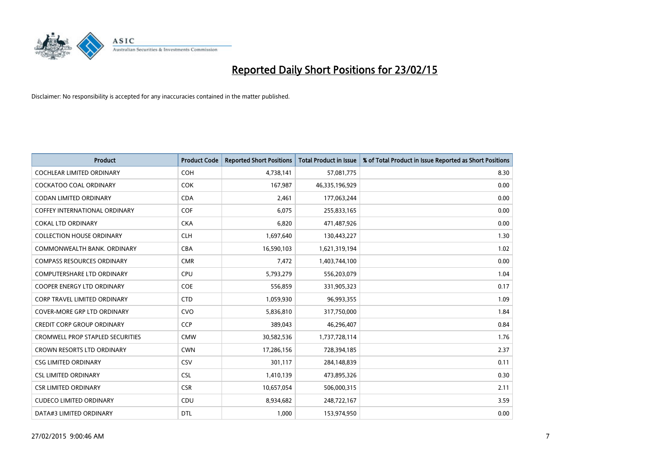

| <b>Product</b>                          | <b>Product Code</b> | <b>Reported Short Positions</b> | <b>Total Product in Issue</b> | % of Total Product in Issue Reported as Short Positions |
|-----------------------------------------|---------------------|---------------------------------|-------------------------------|---------------------------------------------------------|
| <b>COCHLEAR LIMITED ORDINARY</b>        | <b>COH</b>          | 4,738,141                       | 57,081,775                    | 8.30                                                    |
| COCKATOO COAL ORDINARY                  | COK                 | 167,987                         | 46,335,196,929                | 0.00                                                    |
| <b>CODAN LIMITED ORDINARY</b>           | <b>CDA</b>          | 2,461                           | 177,063,244                   | 0.00                                                    |
| <b>COFFEY INTERNATIONAL ORDINARY</b>    | <b>COF</b>          | 6,075                           | 255,833,165                   | 0.00                                                    |
| <b>COKAL LTD ORDINARY</b>               | <b>CKA</b>          | 6,820                           | 471,487,926                   | 0.00                                                    |
| <b>COLLECTION HOUSE ORDINARY</b>        | <b>CLH</b>          | 1,697,640                       | 130,443,227                   | 1.30                                                    |
| COMMONWEALTH BANK, ORDINARY             | <b>CBA</b>          | 16,590,103                      | 1,621,319,194                 | 1.02                                                    |
| <b>COMPASS RESOURCES ORDINARY</b>       | <b>CMR</b>          | 7,472                           | 1,403,744,100                 | 0.00                                                    |
| <b>COMPUTERSHARE LTD ORDINARY</b>       | <b>CPU</b>          | 5,793,279                       | 556,203,079                   | 1.04                                                    |
| <b>COOPER ENERGY LTD ORDINARY</b>       | <b>COE</b>          | 556,859                         | 331,905,323                   | 0.17                                                    |
| CORP TRAVEL LIMITED ORDINARY            | <b>CTD</b>          | 1,059,930                       | 96,993,355                    | 1.09                                                    |
| <b>COVER-MORE GRP LTD ORDINARY</b>      | <b>CVO</b>          | 5,836,810                       | 317,750,000                   | 1.84                                                    |
| <b>CREDIT CORP GROUP ORDINARY</b>       | <b>CCP</b>          | 389,043                         | 46,296,407                    | 0.84                                                    |
| <b>CROMWELL PROP STAPLED SECURITIES</b> | <b>CMW</b>          | 30,582,536                      | 1,737,728,114                 | 1.76                                                    |
| <b>CROWN RESORTS LTD ORDINARY</b>       | <b>CWN</b>          | 17,286,156                      | 728,394,185                   | 2.37                                                    |
| <b>CSG LIMITED ORDINARY</b>             | CSV                 | 301,117                         | 284,148,839                   | 0.11                                                    |
| <b>CSL LIMITED ORDINARY</b>             | <b>CSL</b>          | 1,410,139                       | 473,895,326                   | 0.30                                                    |
| <b>CSR LIMITED ORDINARY</b>             | <b>CSR</b>          | 10,657,054                      | 506,000,315                   | 2.11                                                    |
| <b>CUDECO LIMITED ORDINARY</b>          | CDU                 | 8,934,682                       | 248,722,167                   | 3.59                                                    |
| DATA#3 LIMITED ORDINARY                 | <b>DTL</b>          | 1,000                           | 153,974,950                   | 0.00                                                    |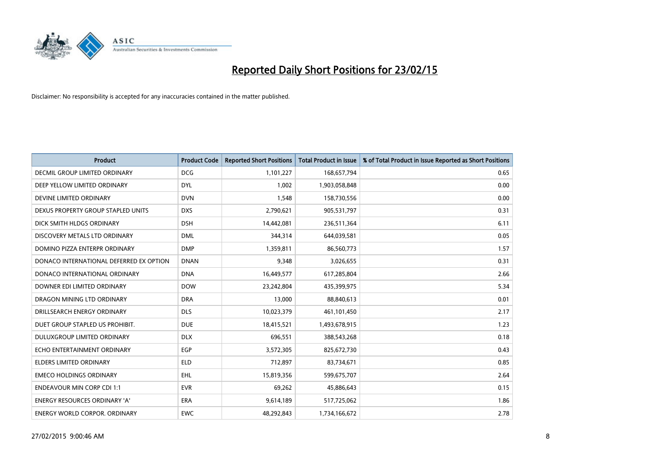

| <b>Product</b>                          | <b>Product Code</b> | <b>Reported Short Positions</b> | <b>Total Product in Issue</b> | % of Total Product in Issue Reported as Short Positions |
|-----------------------------------------|---------------------|---------------------------------|-------------------------------|---------------------------------------------------------|
| DECMIL GROUP LIMITED ORDINARY           | <b>DCG</b>          | 1,101,227                       | 168,657,794                   | 0.65                                                    |
| DEEP YELLOW LIMITED ORDINARY            | <b>DYL</b>          | 1,002                           | 1,903,058,848                 | 0.00                                                    |
| DEVINE LIMITED ORDINARY                 | <b>DVN</b>          | 1,548                           | 158,730,556                   | 0.00                                                    |
| DEXUS PROPERTY GROUP STAPLED UNITS      | <b>DXS</b>          | 2,790,621                       | 905,531,797                   | 0.31                                                    |
| DICK SMITH HLDGS ORDINARY               | <b>DSH</b>          | 14,442,081                      | 236,511,364                   | 6.11                                                    |
| DISCOVERY METALS LTD ORDINARY           | <b>DML</b>          | 344,314                         | 644,039,581                   | 0.05                                                    |
| DOMINO PIZZA ENTERPR ORDINARY           | <b>DMP</b>          | 1,359,811                       | 86,560,773                    | 1.57                                                    |
| DONACO INTERNATIONAL DEFERRED EX OPTION | <b>DNAN</b>         | 9,348                           | 3,026,655                     | 0.31                                                    |
| DONACO INTERNATIONAL ORDINARY           | <b>DNA</b>          | 16,449,577                      | 617,285,804                   | 2.66                                                    |
| DOWNER EDI LIMITED ORDINARY             | <b>DOW</b>          | 23,242,804                      | 435,399,975                   | 5.34                                                    |
| DRAGON MINING LTD ORDINARY              | <b>DRA</b>          | 13,000                          | 88,840,613                    | 0.01                                                    |
| DRILLSEARCH ENERGY ORDINARY             | <b>DLS</b>          | 10,023,379                      | 461,101,450                   | 2.17                                                    |
| DUET GROUP STAPLED US PROHIBIT.         | <b>DUE</b>          | 18,415,521                      | 1,493,678,915                 | 1.23                                                    |
| DULUXGROUP LIMITED ORDINARY             | <b>DLX</b>          | 696,551                         | 388,543,268                   | 0.18                                                    |
| ECHO ENTERTAINMENT ORDINARY             | EGP                 | 3,572,305                       | 825,672,730                   | 0.43                                                    |
| ELDERS LIMITED ORDINARY                 | <b>ELD</b>          | 712,897                         | 83,734,671                    | 0.85                                                    |
| <b>EMECO HOLDINGS ORDINARY</b>          | EHL                 | 15,819,356                      | 599,675,707                   | 2.64                                                    |
| <b>ENDEAVOUR MIN CORP CDI 1:1</b>       | <b>EVR</b>          | 69,262                          | 45,886,643                    | 0.15                                                    |
| <b>ENERGY RESOURCES ORDINARY 'A'</b>    | <b>ERA</b>          | 9,614,189                       | 517,725,062                   | 1.86                                                    |
| <b>ENERGY WORLD CORPOR. ORDINARY</b>    | <b>EWC</b>          | 48,292,843                      | 1,734,166,672                 | 2.78                                                    |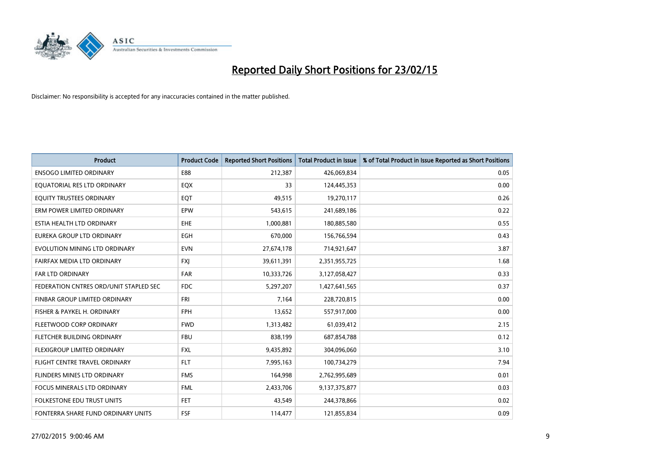

| <b>Product</b>                         | <b>Product Code</b> | <b>Reported Short Positions</b> | <b>Total Product in Issue</b> | % of Total Product in Issue Reported as Short Positions |
|----------------------------------------|---------------------|---------------------------------|-------------------------------|---------------------------------------------------------|
| <b>ENSOGO LIMITED ORDINARY</b>         | E88                 | 212,387                         | 426,069,834                   | 0.05                                                    |
| EQUATORIAL RES LTD ORDINARY            | EQX                 | 33                              | 124,445,353                   | 0.00                                                    |
| EQUITY TRUSTEES ORDINARY               | EQT                 | 49,515                          | 19,270,117                    | 0.26                                                    |
| ERM POWER LIMITED ORDINARY             | EPW                 | 543,615                         | 241,689,186                   | 0.22                                                    |
| ESTIA HEALTH LTD ORDINARY              | <b>EHE</b>          | 1,000,881                       | 180,885,580                   | 0.55                                                    |
| EUREKA GROUP LTD ORDINARY              | <b>EGH</b>          | 670,000                         | 156,766,594                   | 0.43                                                    |
| EVOLUTION MINING LTD ORDINARY          | <b>EVN</b>          | 27,674,178                      | 714,921,647                   | 3.87                                                    |
| FAIRFAX MEDIA LTD ORDINARY             | <b>FXI</b>          | 39,611,391                      | 2,351,955,725                 | 1.68                                                    |
| <b>FAR LTD ORDINARY</b>                | <b>FAR</b>          | 10,333,726                      | 3,127,058,427                 | 0.33                                                    |
| FEDERATION CNTRES ORD/UNIT STAPLED SEC | FDC                 | 5,297,207                       | 1,427,641,565                 | 0.37                                                    |
| FINBAR GROUP LIMITED ORDINARY          | FRI                 | 7,164                           | 228,720,815                   | 0.00                                                    |
| FISHER & PAYKEL H. ORDINARY            | <b>FPH</b>          | 13,652                          | 557,917,000                   | 0.00                                                    |
| FLEETWOOD CORP ORDINARY                | <b>FWD</b>          | 1,313,482                       | 61,039,412                    | 2.15                                                    |
| FLETCHER BUILDING ORDINARY             | <b>FBU</b>          | 838,199                         | 687,854,788                   | 0.12                                                    |
| FLEXIGROUP LIMITED ORDINARY            | <b>FXL</b>          | 9,435,892                       | 304,096,060                   | 3.10                                                    |
| FLIGHT CENTRE TRAVEL ORDINARY          | <b>FLT</b>          | 7,995,163                       | 100,734,279                   | 7.94                                                    |
| FLINDERS MINES LTD ORDINARY            | <b>FMS</b>          | 164,998                         | 2,762,995,689                 | 0.01                                                    |
| FOCUS MINERALS LTD ORDINARY            | <b>FML</b>          | 2,433,706                       | 9,137,375,877                 | 0.03                                                    |
| <b>FOLKESTONE EDU TRUST UNITS</b>      | <b>FET</b>          | 43,549                          | 244,378,866                   | 0.02                                                    |
| FONTERRA SHARE FUND ORDINARY UNITS     | <b>FSF</b>          | 114,477                         | 121,855,834                   | 0.09                                                    |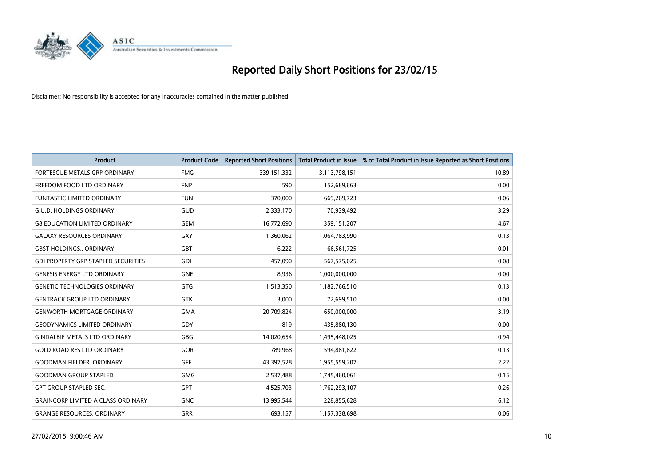

| <b>Product</b>                             | <b>Product Code</b> | <b>Reported Short Positions</b> | <b>Total Product in Issue</b> | % of Total Product in Issue Reported as Short Positions |
|--------------------------------------------|---------------------|---------------------------------|-------------------------------|---------------------------------------------------------|
| FORTESCUE METALS GRP ORDINARY              | <b>FMG</b>          | 339,151,332                     | 3,113,798,151                 | 10.89                                                   |
| FREEDOM FOOD LTD ORDINARY                  | <b>FNP</b>          | 590                             | 152,689,663                   | 0.00                                                    |
| <b>FUNTASTIC LIMITED ORDINARY</b>          | <b>FUN</b>          | 370,000                         | 669,269,723                   | 0.06                                                    |
| <b>G.U.D. HOLDINGS ORDINARY</b>            | GUD                 | 2,333,170                       | 70,939,492                    | 3.29                                                    |
| <b>G8 EDUCATION LIMITED ORDINARY</b>       | <b>GEM</b>          | 16,772,690                      | 359,151,207                   | 4.67                                                    |
| <b>GALAXY RESOURCES ORDINARY</b>           | <b>GXY</b>          | 1,360,062                       | 1,064,783,990                 | 0.13                                                    |
| <b>GBST HOLDINGS., ORDINARY</b>            | <b>GBT</b>          | 6,222                           | 66,561,725                    | 0.01                                                    |
| <b>GDI PROPERTY GRP STAPLED SECURITIES</b> | GDI                 | 457,090                         | 567,575,025                   | 0.08                                                    |
| <b>GENESIS ENERGY LTD ORDINARY</b>         | <b>GNE</b>          | 8,936                           | 1,000,000,000                 | 0.00                                                    |
| <b>GENETIC TECHNOLOGIES ORDINARY</b>       | <b>GTG</b>          | 1,513,350                       | 1,182,766,510                 | 0.13                                                    |
| <b>GENTRACK GROUP LTD ORDINARY</b>         | GTK                 | 3,000                           | 72,699,510                    | 0.00                                                    |
| <b>GENWORTH MORTGAGE ORDINARY</b>          | <b>GMA</b>          | 20,709,824                      | 650,000,000                   | 3.19                                                    |
| <b>GEODYNAMICS LIMITED ORDINARY</b>        | GDY                 | 819                             | 435,880,130                   | 0.00                                                    |
| <b>GINDALBIE METALS LTD ORDINARY</b>       | GBG                 | 14,020,654                      | 1,495,448,025                 | 0.94                                                    |
| <b>GOLD ROAD RES LTD ORDINARY</b>          | GOR                 | 789,968                         | 594,881,822                   | 0.13                                                    |
| <b>GOODMAN FIELDER, ORDINARY</b>           | GFF                 | 43,397,528                      | 1,955,559,207                 | 2.22                                                    |
| <b>GOODMAN GROUP STAPLED</b>               | <b>GMG</b>          | 2,537,488                       | 1,745,460,061                 | 0.15                                                    |
| <b>GPT GROUP STAPLED SEC.</b>              | <b>GPT</b>          | 4,525,703                       | 1,762,293,107                 | 0.26                                                    |
| <b>GRAINCORP LIMITED A CLASS ORDINARY</b>  | <b>GNC</b>          | 13,995,544                      | 228,855,628                   | 6.12                                                    |
| <b>GRANGE RESOURCES. ORDINARY</b>          | GRR                 | 693,157                         | 1,157,338,698                 | 0.06                                                    |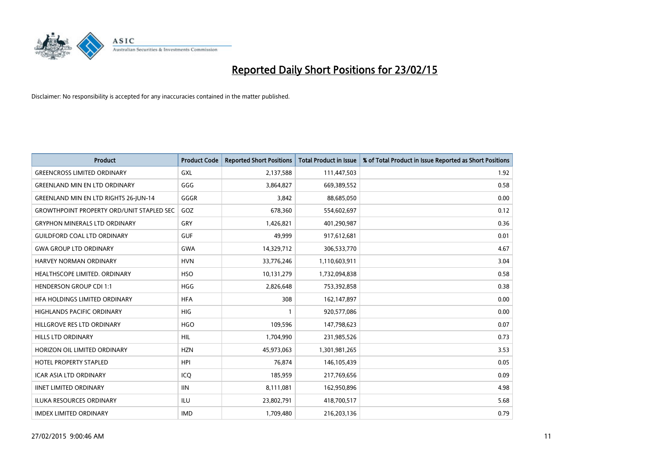

| <b>Product</b>                                   | <b>Product Code</b> | <b>Reported Short Positions</b> | <b>Total Product in Issue</b> | % of Total Product in Issue Reported as Short Positions |
|--------------------------------------------------|---------------------|---------------------------------|-------------------------------|---------------------------------------------------------|
| <b>GREENCROSS LIMITED ORDINARY</b>               | GXL                 | 2,137,588                       | 111,447,503                   | 1.92                                                    |
| <b>GREENLAND MIN EN LTD ORDINARY</b>             | GGG                 | 3,864,827                       | 669,389,552                   | 0.58                                                    |
| <b>GREENLAND MIN EN LTD RIGHTS 26-JUN-14</b>     | GGGR                | 3,842                           | 88,685,050                    | 0.00                                                    |
| <b>GROWTHPOINT PROPERTY ORD/UNIT STAPLED SEC</b> | GOZ                 | 678,360                         | 554,602,697                   | 0.12                                                    |
| <b>GRYPHON MINERALS LTD ORDINARY</b>             | GRY                 | 1,426,821                       | 401,290,987                   | 0.36                                                    |
| <b>GUILDFORD COAL LTD ORDINARY</b>               | <b>GUF</b>          | 49,999                          | 917,612,681                   | 0.01                                                    |
| <b>GWA GROUP LTD ORDINARY</b>                    | <b>GWA</b>          | 14,329,712                      | 306,533,770                   | 4.67                                                    |
| HARVEY NORMAN ORDINARY                           | <b>HVN</b>          | 33,776,246                      | 1,110,603,911                 | 3.04                                                    |
| HEALTHSCOPE LIMITED. ORDINARY                    | <b>HSO</b>          | 10,131,279                      | 1,732,094,838                 | 0.58                                                    |
| <b>HENDERSON GROUP CDI 1:1</b>                   | <b>HGG</b>          | 2,826,648                       | 753,392,858                   | 0.38                                                    |
| HEA HOLDINGS LIMITED ORDINARY                    | <b>HFA</b>          | 308                             | 162,147,897                   | 0.00                                                    |
| HIGHLANDS PACIFIC ORDINARY                       | HIG                 | $\mathbf{1}$                    | 920,577,086                   | 0.00                                                    |
| HILLGROVE RES LTD ORDINARY                       | <b>HGO</b>          | 109,596                         | 147,798,623                   | 0.07                                                    |
| <b>HILLS LTD ORDINARY</b>                        | <b>HIL</b>          | 1,704,990                       | 231,985,526                   | 0.73                                                    |
| HORIZON OIL LIMITED ORDINARY                     | <b>HZN</b>          | 45,973,063                      | 1,301,981,265                 | 3.53                                                    |
| HOTEL PROPERTY STAPLED                           | <b>HPI</b>          | 76,874                          | 146,105,439                   | 0.05                                                    |
| ICAR ASIA LTD ORDINARY                           | ICQ                 | 185,959                         | 217,769,656                   | 0.09                                                    |
| <b>IINET LIMITED ORDINARY</b>                    | <b>IIN</b>          | 8,111,081                       | 162,950,896                   | 4.98                                                    |
| <b>ILUKA RESOURCES ORDINARY</b>                  | ILU                 | 23,802,791                      | 418,700,517                   | 5.68                                                    |
| <b>IMDEX LIMITED ORDINARY</b>                    | <b>IMD</b>          | 1,709,480                       | 216,203,136                   | 0.79                                                    |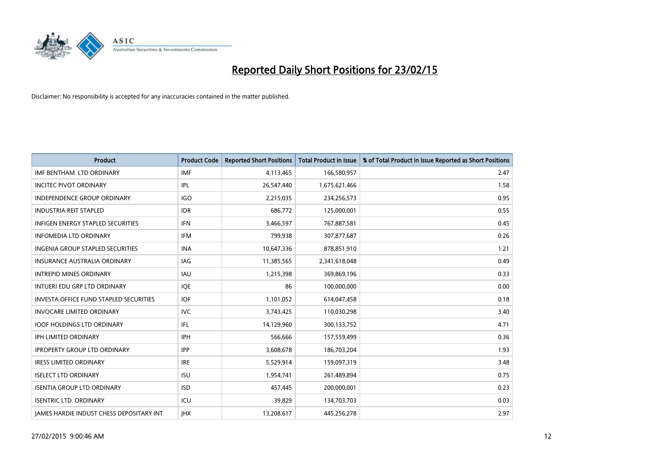

| <b>Product</b>                                  | <b>Product Code</b> | <b>Reported Short Positions</b> | <b>Total Product in Issue</b> | % of Total Product in Issue Reported as Short Positions |
|-------------------------------------------------|---------------------|---------------------------------|-------------------------------|---------------------------------------------------------|
| IMF BENTHAM LTD ORDINARY                        | <b>IMF</b>          | 4,113,465                       | 166,580,957                   | 2.47                                                    |
| <b>INCITEC PIVOT ORDINARY</b>                   | IPL                 | 26,547,440                      | 1,675,621,466                 | 1.58                                                    |
| <b>INDEPENDENCE GROUP ORDINARY</b>              | <b>IGO</b>          | 2,215,035                       | 234,256,573                   | 0.95                                                    |
| <b>INDUSTRIA REIT STAPLED</b>                   | <b>IDR</b>          | 686,772                         | 125,000,001                   | 0.55                                                    |
| <b>INFIGEN ENERGY STAPLED SECURITIES</b>        | <b>IFN</b>          | 3,466,597                       | 767,887,581                   | 0.45                                                    |
| <b>INFOMEDIA LTD ORDINARY</b>                   | <b>IFM</b>          | 799,938                         | 307,877,687                   | 0.26                                                    |
| INGENIA GROUP STAPLED SECURITIES                | <b>INA</b>          | 10,647,336                      | 878,851,910                   | 1.21                                                    |
| <b>INSURANCE AUSTRALIA ORDINARY</b>             | IAG                 | 11,385,565                      | 2,341,618,048                 | 0.49                                                    |
| <b>INTREPID MINES ORDINARY</b>                  | <b>IAU</b>          | 1,215,398                       | 369,869,196                   | 0.33                                                    |
| INTUERI EDU GRP LTD ORDINARY                    | <b>IOE</b>          | 86                              | 100,000,000                   | 0.00                                                    |
| <b>INVESTA OFFICE FUND STAPLED SECURITIES</b>   | <b>IOF</b>          | 1,101,052                       | 614,047,458                   | 0.18                                                    |
| <b>INVOCARE LIMITED ORDINARY</b>                | <b>IVC</b>          | 3,743,425                       | 110,030,298                   | 3.40                                                    |
| <b>IOOF HOLDINGS LTD ORDINARY</b>               | IFL                 | 14,129,960                      | 300,133,752                   | 4.71                                                    |
| <b>IPH LIMITED ORDINARY</b>                     | IPH                 | 566.666                         | 157,559,499                   | 0.36                                                    |
| <b>IPROPERTY GROUP LTD ORDINARY</b>             | <b>IPP</b>          | 3,608,678                       | 186,703,204                   | 1.93                                                    |
| <b>IRESS LIMITED ORDINARY</b>                   | <b>IRE</b>          | 5,529,914                       | 159,097,319                   | 3.48                                                    |
| <b>ISELECT LTD ORDINARY</b>                     | <b>ISU</b>          | 1,954,741                       | 261,489,894                   | 0.75                                                    |
| <b>ISENTIA GROUP LTD ORDINARY</b>               | <b>ISD</b>          | 457,445                         | 200,000,001                   | 0.23                                                    |
| <b>ISENTRIC LTD. ORDINARY</b>                   | ICU                 | 39,829                          | 134,703,703                   | 0.03                                                    |
| <b>IAMES HARDIE INDUST CHESS DEPOSITARY INT</b> | <b>IHX</b>          | 13,208,617                      | 445,256,278                   | 2.97                                                    |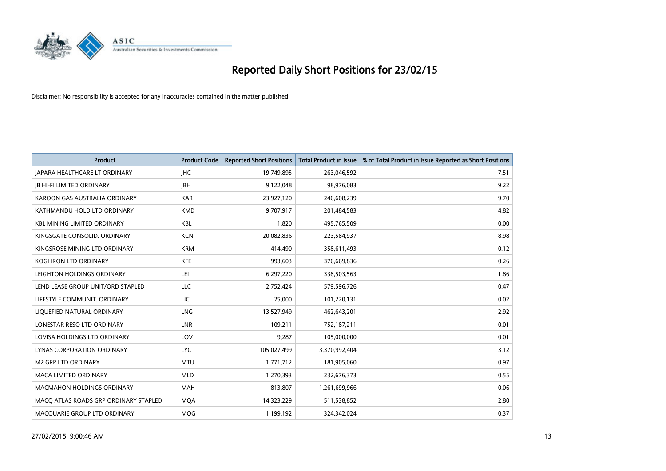

| <b>Product</b>                        | <b>Product Code</b> | <b>Reported Short Positions</b> | <b>Total Product in Issue</b> | % of Total Product in Issue Reported as Short Positions |
|---------------------------------------|---------------------|---------------------------------|-------------------------------|---------------------------------------------------------|
| JAPARA HEALTHCARE LT ORDINARY         | <b>IHC</b>          | 19,749,895                      | 263,046,592                   | 7.51                                                    |
| <b>JB HI-FI LIMITED ORDINARY</b>      | <b>JBH</b>          | 9,122,048                       | 98,976,083                    | 9.22                                                    |
| KAROON GAS AUSTRALIA ORDINARY         | <b>KAR</b>          | 23,927,120                      | 246,608,239                   | 9.70                                                    |
| KATHMANDU HOLD LTD ORDINARY           | <b>KMD</b>          | 9,707,917                       | 201,484,583                   | 4.82                                                    |
| <b>KBL MINING LIMITED ORDINARY</b>    | <b>KBL</b>          | 1,820                           | 495,765,509                   | 0.00                                                    |
| KINGSGATE CONSOLID. ORDINARY          | <b>KCN</b>          | 20,082,836                      | 223,584,937                   | 8.98                                                    |
| KINGSROSE MINING LTD ORDINARY         | <b>KRM</b>          | 414,490                         | 358,611,493                   | 0.12                                                    |
| KOGI IRON LTD ORDINARY                | <b>KFE</b>          | 993,603                         | 376,669,836                   | 0.26                                                    |
| LEIGHTON HOLDINGS ORDINARY            | LEI                 | 6,297,220                       | 338,503,563                   | 1.86                                                    |
| LEND LEASE GROUP UNIT/ORD STAPLED     | LLC                 | 2,752,424                       | 579,596,726                   | 0.47                                                    |
| LIFESTYLE COMMUNIT. ORDINARY          | LIC                 | 25,000                          | 101,220,131                   | 0.02                                                    |
| LIQUEFIED NATURAL ORDINARY            | LNG                 | 13,527,949                      | 462,643,201                   | 2.92                                                    |
| LONESTAR RESO LTD ORDINARY            | <b>LNR</b>          | 109,211                         | 752,187,211                   | 0.01                                                    |
| LOVISA HOLDINGS LTD ORDINARY          | LOV                 | 9,287                           | 105,000,000                   | 0.01                                                    |
| LYNAS CORPORATION ORDINARY            | <b>LYC</b>          | 105,027,499                     | 3,370,992,404                 | 3.12                                                    |
| <b>M2 GRP LTD ORDINARY</b>            | <b>MTU</b>          | 1,771,712                       | 181,905,060                   | 0.97                                                    |
| MACA LIMITED ORDINARY                 | <b>MLD</b>          | 1,270,393                       | 232,676,373                   | 0.55                                                    |
| <b>MACMAHON HOLDINGS ORDINARY</b>     | <b>MAH</b>          | 813,807                         | 1,261,699,966                 | 0.06                                                    |
| MACO ATLAS ROADS GRP ORDINARY STAPLED | <b>MQA</b>          | 14,323,229                      | 511,538,852                   | 2.80                                                    |
| MACQUARIE GROUP LTD ORDINARY          | <b>MQG</b>          | 1,199,192                       | 324,342,024                   | 0.37                                                    |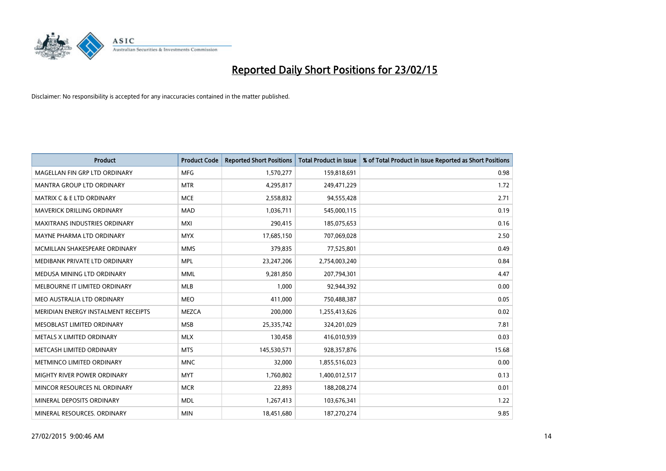

| <b>Product</b>                       | <b>Product Code</b> | <b>Reported Short Positions</b> | <b>Total Product in Issue</b> | % of Total Product in Issue Reported as Short Positions |
|--------------------------------------|---------------------|---------------------------------|-------------------------------|---------------------------------------------------------|
| MAGELLAN FIN GRP LTD ORDINARY        | <b>MFG</b>          | 1,570,277                       | 159,818,691                   | 0.98                                                    |
| MANTRA GROUP LTD ORDINARY            | <b>MTR</b>          | 4,295,817                       | 249,471,229                   | 1.72                                                    |
| <b>MATRIX C &amp; E LTD ORDINARY</b> | <b>MCE</b>          | 2,558,832                       | 94,555,428                    | 2.71                                                    |
| <b>MAVERICK DRILLING ORDINARY</b>    | <b>MAD</b>          | 1,036,711                       | 545,000,115                   | 0.19                                                    |
| <b>MAXITRANS INDUSTRIES ORDINARY</b> | <b>MXI</b>          | 290,415                         | 185,075,653                   | 0.16                                                    |
| MAYNE PHARMA LTD ORDINARY            | <b>MYX</b>          | 17,685,150                      | 707,069,028                   | 2.50                                                    |
| MCMILLAN SHAKESPEARE ORDINARY        | <b>MMS</b>          | 379,835                         | 77,525,801                    | 0.49                                                    |
| MEDIBANK PRIVATE LTD ORDINARY        | <b>MPL</b>          | 23,247,206                      | 2,754,003,240                 | 0.84                                                    |
| MEDUSA MINING LTD ORDINARY           | <b>MML</b>          | 9,281,850                       | 207,794,301                   | 4.47                                                    |
| MELBOURNE IT LIMITED ORDINARY        | <b>MLB</b>          | 1,000                           | 92,944,392                    | 0.00                                                    |
| MEO AUSTRALIA LTD ORDINARY           | <b>MEO</b>          | 411,000                         | 750,488,387                   | 0.05                                                    |
| MERIDIAN ENERGY INSTALMENT RECEIPTS  | <b>MEZCA</b>        | 200,000                         | 1,255,413,626                 | 0.02                                                    |
| MESOBLAST LIMITED ORDINARY           | <b>MSB</b>          | 25,335,742                      | 324,201,029                   | 7.81                                                    |
| METALS X LIMITED ORDINARY            | <b>MLX</b>          | 130,458                         | 416,010,939                   | 0.03                                                    |
| METCASH LIMITED ORDINARY             | <b>MTS</b>          | 145,530,571                     | 928,357,876                   | 15.68                                                   |
| METMINCO LIMITED ORDINARY            | <b>MNC</b>          | 32,000                          | 1,855,516,023                 | 0.00                                                    |
| MIGHTY RIVER POWER ORDINARY          | <b>MYT</b>          | 1,760,802                       | 1,400,012,517                 | 0.13                                                    |
| MINCOR RESOURCES NL ORDINARY         | <b>MCR</b>          | 22,893                          | 188,208,274                   | 0.01                                                    |
| MINERAL DEPOSITS ORDINARY            | <b>MDL</b>          | 1,267,413                       | 103,676,341                   | 1.22                                                    |
| MINERAL RESOURCES. ORDINARY          | <b>MIN</b>          | 18,451,680                      | 187,270,274                   | 9.85                                                    |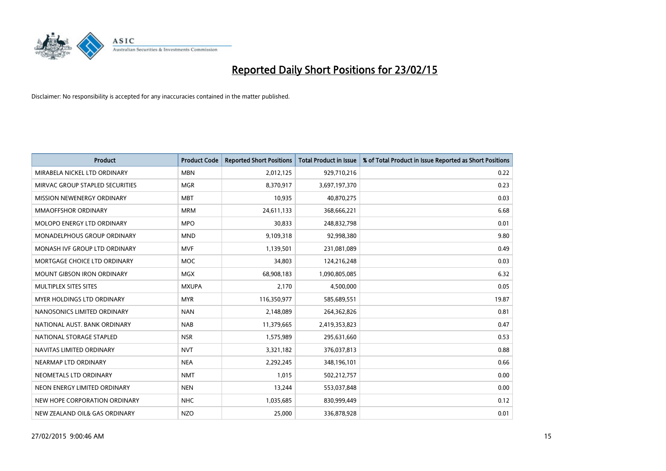

| <b>Product</b>                    | <b>Product Code</b> | <b>Reported Short Positions</b> | <b>Total Product in Issue</b> | % of Total Product in Issue Reported as Short Positions |
|-----------------------------------|---------------------|---------------------------------|-------------------------------|---------------------------------------------------------|
| MIRABELA NICKEL LTD ORDINARY      | <b>MBN</b>          | 2,012,125                       | 929,710,216                   | 0.22                                                    |
| MIRVAC GROUP STAPLED SECURITIES   | <b>MGR</b>          | 8,370,917                       | 3,697,197,370                 | 0.23                                                    |
| MISSION NEWENERGY ORDINARY        | <b>MBT</b>          | 10,935                          | 40,870,275                    | 0.03                                                    |
| <b>MMAOFFSHOR ORDINARY</b>        | <b>MRM</b>          | 24,611,133                      | 368,666,221                   | 6.68                                                    |
| MOLOPO ENERGY LTD ORDINARY        | <b>MPO</b>          | 30,833                          | 248,832,798                   | 0.01                                                    |
| MONADELPHOUS GROUP ORDINARY       | <b>MND</b>          | 9,109,318                       | 92,998,380                    | 9.80                                                    |
| MONASH IVE GROUP LTD ORDINARY     | <b>MVF</b>          | 1,139,501                       | 231,081,089                   | 0.49                                                    |
| MORTGAGE CHOICE LTD ORDINARY      | <b>MOC</b>          | 34,803                          | 124,216,248                   | 0.03                                                    |
| <b>MOUNT GIBSON IRON ORDINARY</b> | <b>MGX</b>          | 68,908,183                      | 1,090,805,085                 | 6.32                                                    |
| MULTIPLEX SITES SITES             | <b>MXUPA</b>        | 2,170                           | 4,500,000                     | 0.05                                                    |
| MYER HOLDINGS LTD ORDINARY        | <b>MYR</b>          | 116,350,977                     | 585,689,551                   | 19.87                                                   |
| NANOSONICS LIMITED ORDINARY       | <b>NAN</b>          | 2,148,089                       | 264,362,826                   | 0.81                                                    |
| NATIONAL AUST, BANK ORDINARY      | <b>NAB</b>          | 11,379,665                      | 2,419,353,823                 | 0.47                                                    |
| NATIONAL STORAGE STAPLED          | <b>NSR</b>          | 1,575,989                       | 295,631,660                   | 0.53                                                    |
| NAVITAS LIMITED ORDINARY          | <b>NVT</b>          | 3,321,182                       | 376,037,813                   | 0.88                                                    |
| NEARMAP LTD ORDINARY              | <b>NEA</b>          | 2,292,245                       | 348,196,101                   | 0.66                                                    |
| NEOMETALS LTD ORDINARY            | <b>NMT</b>          | 1,015                           | 502,212,757                   | 0.00                                                    |
| NEON ENERGY LIMITED ORDINARY      | <b>NEN</b>          | 13,244                          | 553,037,848                   | 0.00                                                    |
| NEW HOPE CORPORATION ORDINARY     | <b>NHC</b>          | 1,035,685                       | 830,999,449                   | 0.12                                                    |
| NEW ZEALAND OIL& GAS ORDINARY     | <b>NZO</b>          | 25,000                          | 336,878,928                   | 0.01                                                    |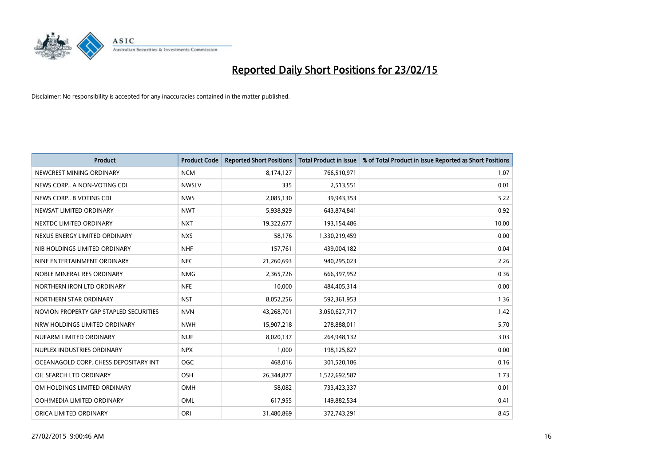

| <b>Product</b>                         | <b>Product Code</b> | <b>Reported Short Positions</b> | <b>Total Product in Issue</b> | % of Total Product in Issue Reported as Short Positions |
|----------------------------------------|---------------------|---------------------------------|-------------------------------|---------------------------------------------------------|
| NEWCREST MINING ORDINARY               | <b>NCM</b>          | 8,174,127                       | 766,510,971                   | 1.07                                                    |
| NEWS CORP A NON-VOTING CDI             | <b>NWSLV</b>        | 335                             | 2,513,551                     | 0.01                                                    |
| NEWS CORP B VOTING CDI                 | <b>NWS</b>          | 2,085,130                       | 39,943,353                    | 5.22                                                    |
| NEWSAT LIMITED ORDINARY                | <b>NWT</b>          | 5,938,929                       | 643,874,841                   | 0.92                                                    |
| NEXTDC LIMITED ORDINARY                | <b>NXT</b>          | 19,322,677                      | 193,154,486                   | 10.00                                                   |
| NEXUS ENERGY LIMITED ORDINARY          | <b>NXS</b>          | 58,176                          | 1,330,219,459                 | 0.00                                                    |
| NIB HOLDINGS LIMITED ORDINARY          | <b>NHF</b>          | 157,761                         | 439,004,182                   | 0.04                                                    |
| NINE ENTERTAINMENT ORDINARY            | <b>NEC</b>          | 21,260,693                      | 940,295,023                   | 2.26                                                    |
| NOBLE MINERAL RES ORDINARY             | <b>NMG</b>          | 2,365,726                       | 666,397,952                   | 0.36                                                    |
| NORTHERN IRON LTD ORDINARY             | <b>NFE</b>          | 10,000                          | 484,405,314                   | 0.00                                                    |
| NORTHERN STAR ORDINARY                 | <b>NST</b>          | 8,052,256                       | 592,361,953                   | 1.36                                                    |
| NOVION PROPERTY GRP STAPLED SECURITIES | <b>NVN</b>          | 43,268,701                      | 3,050,627,717                 | 1.42                                                    |
| NRW HOLDINGS LIMITED ORDINARY          | <b>NWH</b>          | 15,907,218                      | 278,888,011                   | 5.70                                                    |
| NUFARM LIMITED ORDINARY                | <b>NUF</b>          | 8,020,137                       | 264,948,132                   | 3.03                                                    |
| NUPLEX INDUSTRIES ORDINARY             | <b>NPX</b>          | 1,000                           | 198,125,827                   | 0.00                                                    |
| OCEANAGOLD CORP. CHESS DEPOSITARY INT  | <b>OGC</b>          | 468,016                         | 301,520,186                   | 0.16                                                    |
| OIL SEARCH LTD ORDINARY                | OSH                 | 26,344,877                      | 1,522,692,587                 | 1.73                                                    |
| OM HOLDINGS LIMITED ORDINARY           | OMH                 | 58,082                          | 733,423,337                   | 0.01                                                    |
| OOH!MEDIA LIMITED ORDINARY             | <b>OML</b>          | 617,955                         | 149,882,534                   | 0.41                                                    |
| ORICA LIMITED ORDINARY                 | ORI                 | 31,480,869                      | 372,743,291                   | 8.45                                                    |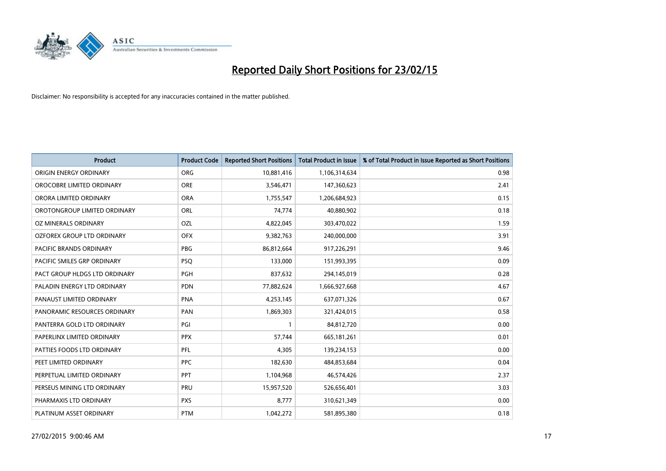

| <b>Product</b>                    | <b>Product Code</b> | <b>Reported Short Positions</b> | <b>Total Product in Issue</b> | % of Total Product in Issue Reported as Short Positions |
|-----------------------------------|---------------------|---------------------------------|-------------------------------|---------------------------------------------------------|
| ORIGIN ENERGY ORDINARY            | <b>ORG</b>          | 10,881,416                      | 1,106,314,634                 | 0.98                                                    |
| OROCOBRE LIMITED ORDINARY         | <b>ORE</b>          | 3,546,471                       | 147,360,623                   | 2.41                                                    |
| ORORA LIMITED ORDINARY            | <b>ORA</b>          | 1,755,547                       | 1,206,684,923                 | 0.15                                                    |
| OROTONGROUP LIMITED ORDINARY      | ORL                 | 74,774                          | 40,880,902                    | 0.18                                                    |
| OZ MINERALS ORDINARY              | OZL                 | 4,822,045                       | 303,470,022                   | 1.59                                                    |
| <b>OZFOREX GROUP LTD ORDINARY</b> | <b>OFX</b>          | 9,382,763                       | 240,000,000                   | 3.91                                                    |
| <b>PACIFIC BRANDS ORDINARY</b>    | <b>PBG</b>          | 86,812,664                      | 917,226,291                   | 9.46                                                    |
| PACIFIC SMILES GRP ORDINARY       | <b>PSQ</b>          | 133,000                         | 151,993,395                   | 0.09                                                    |
| PACT GROUP HLDGS LTD ORDINARY     | <b>PGH</b>          | 837,632                         | 294,145,019                   | 0.28                                                    |
| PALADIN ENERGY LTD ORDINARY       | <b>PDN</b>          | 77,882,624                      | 1,666,927,668                 | 4.67                                                    |
| PANAUST LIMITED ORDINARY          | <b>PNA</b>          | 4,253,145                       | 637,071,326                   | 0.67                                                    |
| PANORAMIC RESOURCES ORDINARY      | PAN                 | 1,869,303                       | 321,424,015                   | 0.58                                                    |
| PANTERRA GOLD LTD ORDINARY        | PGI                 | 1                               | 84,812,720                    | 0.00                                                    |
| PAPERLINX LIMITED ORDINARY        | <b>PPX</b>          | 57,744                          | 665, 181, 261                 | 0.01                                                    |
| PATTIES FOODS LTD ORDINARY        | PFL                 | 4,305                           | 139,234,153                   | 0.00                                                    |
| PEET LIMITED ORDINARY             | <b>PPC</b>          | 182,630                         | 484,853,684                   | 0.04                                                    |
| PERPETUAL LIMITED ORDINARY        | <b>PPT</b>          | 1,104,968                       | 46,574,426                    | 2.37                                                    |
| PERSEUS MINING LTD ORDINARY       | PRU                 | 15,957,520                      | 526,656,401                   | 3.03                                                    |
| PHARMAXIS LTD ORDINARY            | <b>PXS</b>          | 8,777                           | 310,621,349                   | 0.00                                                    |
| PLATINUM ASSET ORDINARY           | <b>PTM</b>          | 1,042,272                       | 581,895,380                   | 0.18                                                    |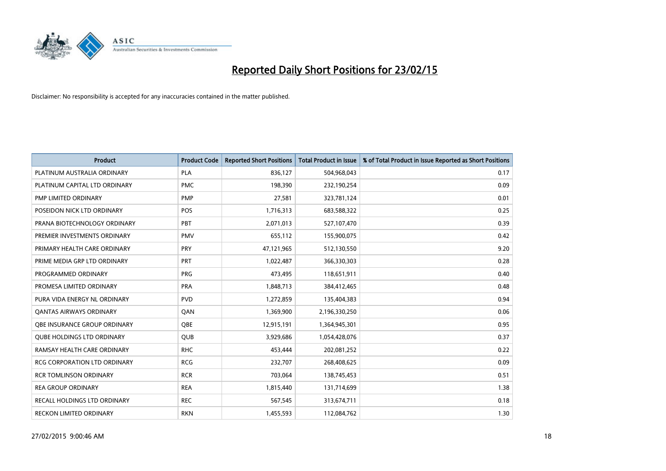

| <b>Product</b>                    | <b>Product Code</b> | <b>Reported Short Positions</b> | <b>Total Product in Issue</b> | % of Total Product in Issue Reported as Short Positions |
|-----------------------------------|---------------------|---------------------------------|-------------------------------|---------------------------------------------------------|
| PLATINUM AUSTRALIA ORDINARY       | <b>PLA</b>          | 836,127                         | 504,968,043                   | 0.17                                                    |
| PLATINUM CAPITAL LTD ORDINARY     | <b>PMC</b>          | 198,390                         | 232,190,254                   | 0.09                                                    |
| PMP LIMITED ORDINARY              | <b>PMP</b>          | 27,581                          | 323,781,124                   | 0.01                                                    |
| POSEIDON NICK LTD ORDINARY        | <b>POS</b>          | 1,716,313                       | 683,588,322                   | 0.25                                                    |
| PRANA BIOTECHNOLOGY ORDINARY      | PBT                 | 2,071,013                       | 527,107,470                   | 0.39                                                    |
| PREMIER INVESTMENTS ORDINARY      | <b>PMV</b>          | 655,112                         | 155,900,075                   | 0.42                                                    |
| PRIMARY HEALTH CARE ORDINARY      | <b>PRY</b>          | 47,121,965                      | 512,130,550                   | 9.20                                                    |
| PRIME MEDIA GRP LTD ORDINARY      | <b>PRT</b>          | 1,022,487                       | 366,330,303                   | 0.28                                                    |
| PROGRAMMED ORDINARY               | <b>PRG</b>          | 473,495                         | 118,651,911                   | 0.40                                                    |
| PROMESA LIMITED ORDINARY          | <b>PRA</b>          | 1,848,713                       | 384,412,465                   | 0.48                                                    |
| PURA VIDA ENERGY NL ORDINARY      | <b>PVD</b>          | 1,272,859                       | 135,404,383                   | 0.94                                                    |
| <b>QANTAS AIRWAYS ORDINARY</b>    | QAN                 | 1,369,900                       | 2,196,330,250                 | 0.06                                                    |
| OBE INSURANCE GROUP ORDINARY      | <b>OBE</b>          | 12,915,191                      | 1,364,945,301                 | 0.95                                                    |
| <b>QUBE HOLDINGS LTD ORDINARY</b> | QUB                 | 3,929,686                       | 1,054,428,076                 | 0.37                                                    |
| RAMSAY HEALTH CARE ORDINARY       | <b>RHC</b>          | 453,444                         | 202,081,252                   | 0.22                                                    |
| RCG CORPORATION LTD ORDINARY      | <b>RCG</b>          | 232,707                         | 268,408,625                   | 0.09                                                    |
| <b>RCR TOMLINSON ORDINARY</b>     | <b>RCR</b>          | 703,064                         | 138,745,453                   | 0.51                                                    |
| <b>REA GROUP ORDINARY</b>         | <b>REA</b>          | 1,815,440                       | 131,714,699                   | 1.38                                                    |
| RECALL HOLDINGS LTD ORDINARY      | <b>REC</b>          | 567,545                         | 313,674,711                   | 0.18                                                    |
| RECKON LIMITED ORDINARY           | <b>RKN</b>          | 1,455,593                       | 112,084,762                   | 1.30                                                    |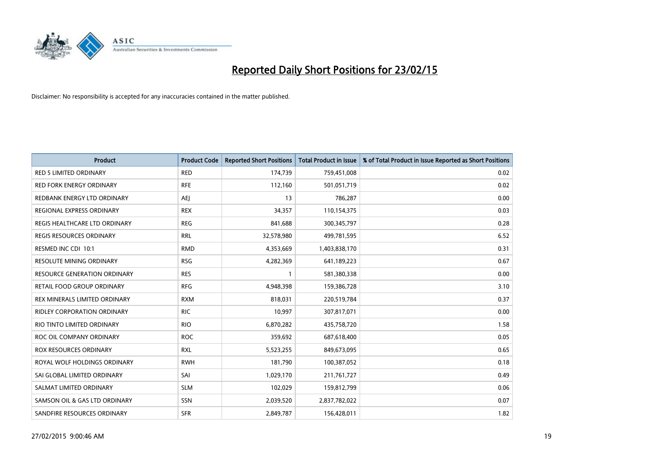

| <b>Product</b>                      | <b>Product Code</b> | <b>Reported Short Positions</b> | <b>Total Product in Issue</b> | % of Total Product in Issue Reported as Short Positions |
|-------------------------------------|---------------------|---------------------------------|-------------------------------|---------------------------------------------------------|
| <b>RED 5 LIMITED ORDINARY</b>       | <b>RED</b>          | 174,739                         | 759,451,008                   | 0.02                                                    |
| <b>RED FORK ENERGY ORDINARY</b>     | <b>RFE</b>          | 112,160                         | 501,051,719                   | 0.02                                                    |
| REDBANK ENERGY LTD ORDINARY         | AEJ                 | 13                              | 786,287                       | 0.00                                                    |
| REGIONAL EXPRESS ORDINARY           | <b>REX</b>          | 34,357                          | 110,154,375                   | 0.03                                                    |
| REGIS HEALTHCARE LTD ORDINARY       | <b>REG</b>          | 841,688                         | 300, 345, 797                 | 0.28                                                    |
| <b>REGIS RESOURCES ORDINARY</b>     | <b>RRL</b>          | 32,578,980                      | 499,781,595                   | 6.52                                                    |
| RESMED INC CDI 10:1                 | <b>RMD</b>          | 4,353,669                       | 1,403,838,170                 | 0.31                                                    |
| RESOLUTE MINING ORDINARY            | <b>RSG</b>          | 4,282,369                       | 641,189,223                   | 0.67                                                    |
| <b>RESOURCE GENERATION ORDINARY</b> | <b>RES</b>          | $\mathbf{1}$                    | 581,380,338                   | 0.00                                                    |
| RETAIL FOOD GROUP ORDINARY          | <b>RFG</b>          | 4,948,398                       | 159,386,728                   | 3.10                                                    |
| REX MINERALS LIMITED ORDINARY       | <b>RXM</b>          | 818,031                         | 220,519,784                   | 0.37                                                    |
| RIDLEY CORPORATION ORDINARY         | <b>RIC</b>          | 10,997                          | 307,817,071                   | 0.00                                                    |
| RIO TINTO LIMITED ORDINARY          | <b>RIO</b>          | 6,870,282                       | 435,758,720                   | 1.58                                                    |
| ROC OIL COMPANY ORDINARY            | <b>ROC</b>          | 359,692                         | 687,618,400                   | 0.05                                                    |
| <b>ROX RESOURCES ORDINARY</b>       | <b>RXL</b>          | 5,523,255                       | 849,673,095                   | 0.65                                                    |
| ROYAL WOLF HOLDINGS ORDINARY        | <b>RWH</b>          | 181,790                         | 100,387,052                   | 0.18                                                    |
| SAI GLOBAL LIMITED ORDINARY         | SAI                 | 1,029,170                       | 211,761,727                   | 0.49                                                    |
| SALMAT LIMITED ORDINARY             | <b>SLM</b>          | 102,029                         | 159,812,799                   | 0.06                                                    |
| SAMSON OIL & GAS LTD ORDINARY       | SSN                 | 2,039,520                       | 2,837,782,022                 | 0.07                                                    |
| SANDFIRE RESOURCES ORDINARY         | <b>SFR</b>          | 2,849,787                       | 156,428,011                   | 1.82                                                    |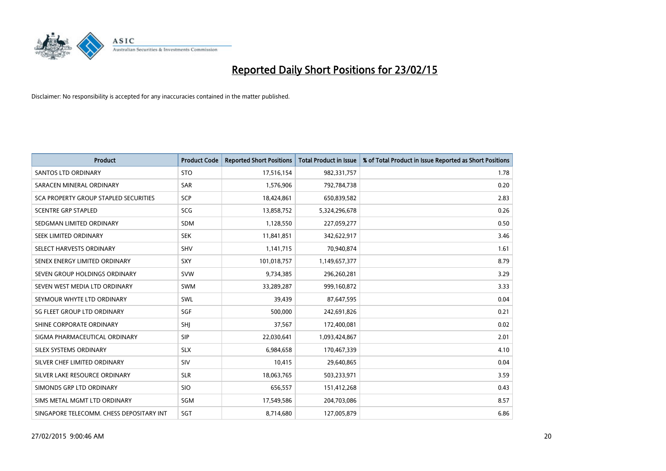

| <b>Product</b>                           | <b>Product Code</b> | <b>Reported Short Positions</b> | <b>Total Product in Issue</b> | % of Total Product in Issue Reported as Short Positions |
|------------------------------------------|---------------------|---------------------------------|-------------------------------|---------------------------------------------------------|
| <b>SANTOS LTD ORDINARY</b>               | <b>STO</b>          | 17,516,154                      | 982,331,757                   | 1.78                                                    |
| SARACEN MINERAL ORDINARY                 | <b>SAR</b>          | 1,576,906                       | 792,784,738                   | 0.20                                                    |
| SCA PROPERTY GROUP STAPLED SECURITIES    | <b>SCP</b>          | 18,424,861                      | 650,839,582                   | 2.83                                                    |
| <b>SCENTRE GRP STAPLED</b>               | <b>SCG</b>          | 13,858,752                      | 5,324,296,678                 | 0.26                                                    |
| SEDGMAN LIMITED ORDINARY                 | SDM                 | 1,128,550                       | 227,059,277                   | 0.50                                                    |
| SEEK LIMITED ORDINARY                    | <b>SEK</b>          | 11,841,851                      | 342,622,917                   | 3.46                                                    |
| SELECT HARVESTS ORDINARY                 | SHV                 | 1,141,715                       | 70,940,874                    | 1.61                                                    |
| SENEX ENERGY LIMITED ORDINARY            | <b>SXY</b>          | 101,018,757                     | 1,149,657,377                 | 8.79                                                    |
| SEVEN GROUP HOLDINGS ORDINARY            | <b>SVW</b>          | 9,734,385                       | 296,260,281                   | 3.29                                                    |
| SEVEN WEST MEDIA LTD ORDINARY            | <b>SWM</b>          | 33,289,287                      | 999,160,872                   | 3.33                                                    |
| SEYMOUR WHYTE LTD ORDINARY               | <b>SWL</b>          | 39,439                          | 87,647,595                    | 0.04                                                    |
| SG FLEET GROUP LTD ORDINARY              | SGF                 | 500,000                         | 242,691,826                   | 0.21                                                    |
| SHINE CORPORATE ORDINARY                 | SHJ                 | 37,567                          | 172,400,081                   | 0.02                                                    |
| SIGMA PHARMACEUTICAL ORDINARY            | <b>SIP</b>          | 22,030,641                      | 1,093,424,867                 | 2.01                                                    |
| SILEX SYSTEMS ORDINARY                   | <b>SLX</b>          | 6,984,658                       | 170,467,339                   | 4.10                                                    |
| SILVER CHEF LIMITED ORDINARY             | SIV                 | 10,415                          | 29,640,865                    | 0.04                                                    |
| SILVER LAKE RESOURCE ORDINARY            | <b>SLR</b>          | 18,063,765                      | 503,233,971                   | 3.59                                                    |
| SIMONDS GRP LTD ORDINARY                 | <b>SIO</b>          | 656,557                         | 151,412,268                   | 0.43                                                    |
| SIMS METAL MGMT LTD ORDINARY             | SGM                 | 17,549,586                      | 204,703,086                   | 8.57                                                    |
| SINGAPORE TELECOMM. CHESS DEPOSITARY INT | SGT                 | 8,714,680                       | 127,005,879                   | 6.86                                                    |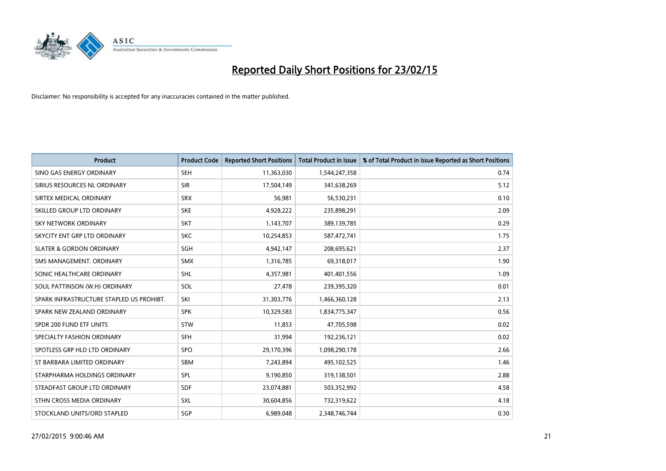

| <b>Product</b>                           | <b>Product Code</b> | <b>Reported Short Positions</b> | <b>Total Product in Issue</b> | % of Total Product in Issue Reported as Short Positions |
|------------------------------------------|---------------------|---------------------------------|-------------------------------|---------------------------------------------------------|
| SINO GAS ENERGY ORDINARY                 | <b>SEH</b>          | 11,363,030                      | 1,544,247,358                 | 0.74                                                    |
| SIRIUS RESOURCES NL ORDINARY             | <b>SIR</b>          | 17,504,149                      | 341,638,269                   | 5.12                                                    |
| SIRTEX MEDICAL ORDINARY                  | <b>SRX</b>          | 56,981                          | 56,530,231                    | 0.10                                                    |
| SKILLED GROUP LTD ORDINARY               | <b>SKE</b>          | 4,928,222                       | 235,898,291                   | 2.09                                                    |
| <b>SKY NETWORK ORDINARY</b>              | <b>SKT</b>          | 1,143,707                       | 389,139,785                   | 0.29                                                    |
| SKYCITY ENT GRP LTD ORDINARY             | <b>SKC</b>          | 10,254,853                      | 587,472,741                   | 1.75                                                    |
| <b>SLATER &amp; GORDON ORDINARY</b>      | SGH                 | 4,942,147                       | 208,695,621                   | 2.37                                                    |
| SMS MANAGEMENT, ORDINARY                 | <b>SMX</b>          | 1,316,785                       | 69,318,017                    | 1.90                                                    |
| SONIC HEALTHCARE ORDINARY                | <b>SHL</b>          | 4,357,981                       | 401,401,556                   | 1.09                                                    |
| SOUL PATTINSON (W.H) ORDINARY            | SOL                 | 27,478                          | 239,395,320                   | 0.01                                                    |
| SPARK INFRASTRUCTURE STAPLED US PROHIBT. | SKI                 | 31,303,776                      | 1,466,360,128                 | 2.13                                                    |
| SPARK NEW ZEALAND ORDINARY               | <b>SPK</b>          | 10,329,583                      | 1,834,775,347                 | 0.56                                                    |
| SPDR 200 FUND ETF UNITS                  | <b>STW</b>          | 11,853                          | 47,705,598                    | 0.02                                                    |
| SPECIALTY FASHION ORDINARY               | SFH                 | 31,994                          | 192,236,121                   | 0.02                                                    |
| SPOTLESS GRP HLD LTD ORDINARY            | <b>SPO</b>          | 29,170,396                      | 1,098,290,178                 | 2.66                                                    |
| ST BARBARA LIMITED ORDINARY              | SBM                 | 7,243,894                       | 495,102,525                   | 1.46                                                    |
| STARPHARMA HOLDINGS ORDINARY             | SPL                 | 9,190,850                       | 319,138,501                   | 2.88                                                    |
| STEADFAST GROUP LTD ORDINARY             | <b>SDF</b>          | 23,074,881                      | 503,352,992                   | 4.58                                                    |
| STHN CROSS MEDIA ORDINARY                | <b>SXL</b>          | 30,604,856                      | 732,319,622                   | 4.18                                                    |
| STOCKLAND UNITS/ORD STAPLED              | SGP                 | 6,989,048                       | 2,348,746,744                 | 0.30                                                    |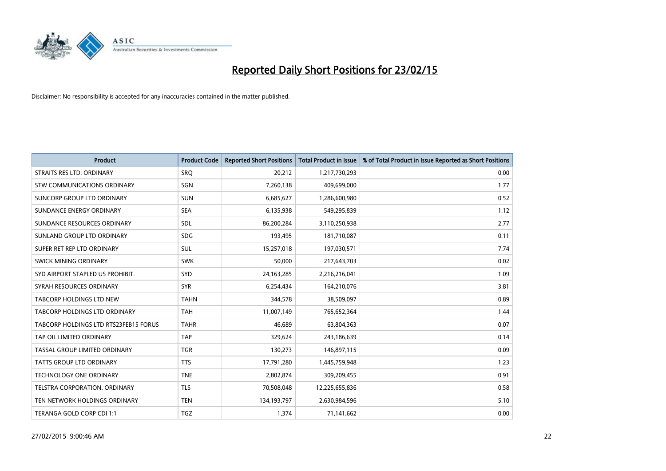

| <b>Product</b>                        | <b>Product Code</b> | <b>Reported Short Positions</b> | <b>Total Product in Issue</b> | % of Total Product in Issue Reported as Short Positions |
|---------------------------------------|---------------------|---------------------------------|-------------------------------|---------------------------------------------------------|
| STRAITS RES LTD. ORDINARY             | SRO                 | 20,212                          | 1,217,730,293                 | 0.00                                                    |
| STW COMMUNICATIONS ORDINARY           | <b>SGN</b>          | 7,260,138                       | 409,699,000                   | 1.77                                                    |
| SUNCORP GROUP LTD ORDINARY            | <b>SUN</b>          | 6,685,627                       | 1,286,600,980                 | 0.52                                                    |
| SUNDANCE ENERGY ORDINARY              | <b>SEA</b>          | 6,135,938                       | 549,295,839                   | 1.12                                                    |
| SUNDANCE RESOURCES ORDINARY           | SDL                 | 86,200,284                      | 3,110,250,938                 | 2.77                                                    |
| SUNLAND GROUP LTD ORDINARY            | <b>SDG</b>          | 193,495                         | 181,710,087                   | 0.11                                                    |
| SUPER RET REP LTD ORDINARY            | <b>SUL</b>          | 15,257,018                      | 197,030,571                   | 7.74                                                    |
| <b>SWICK MINING ORDINARY</b>          | <b>SWK</b>          | 50,000                          | 217,643,703                   | 0.02                                                    |
| SYD AIRPORT STAPLED US PROHIBIT.      | SYD                 | 24, 163, 285                    | 2,216,216,041                 | 1.09                                                    |
| SYRAH RESOURCES ORDINARY              | <b>SYR</b>          | 6,254,434                       | 164,210,076                   | 3.81                                                    |
| TABCORP HOLDINGS LTD NEW              | <b>TAHN</b>         | 344,578                         | 38,509,097                    | 0.89                                                    |
| TABCORP HOLDINGS LTD ORDINARY         | <b>TAH</b>          | 11,007,149                      | 765,652,364                   | 1.44                                                    |
| TABCORP HOLDINGS LTD RTS23FEB15 FORUS | <b>TAHR</b>         | 46,689                          | 63,804,363                    | 0.07                                                    |
| TAP OIL LIMITED ORDINARY              | <b>TAP</b>          | 329,624                         | 243,186,639                   | 0.14                                                    |
| TASSAL GROUP LIMITED ORDINARY         | <b>TGR</b>          | 130,273                         | 146,897,115                   | 0.09                                                    |
| TATTS GROUP LTD ORDINARY              | <b>TTS</b>          | 17,791,280                      | 1,445,759,948                 | 1.23                                                    |
| TECHNOLOGY ONE ORDINARY               | <b>TNE</b>          | 2,802,874                       | 309,209,455                   | 0.91                                                    |
| TELSTRA CORPORATION, ORDINARY         | <b>TLS</b>          | 70,508,048                      | 12,225,655,836                | 0.58                                                    |
| TEN NETWORK HOLDINGS ORDINARY         | <b>TEN</b>          | 134, 193, 797                   | 2,630,984,596                 | 5.10                                                    |
| TERANGA GOLD CORP CDI 1:1             | <b>TGZ</b>          | 1,374                           | 71,141,662                    | 0.00                                                    |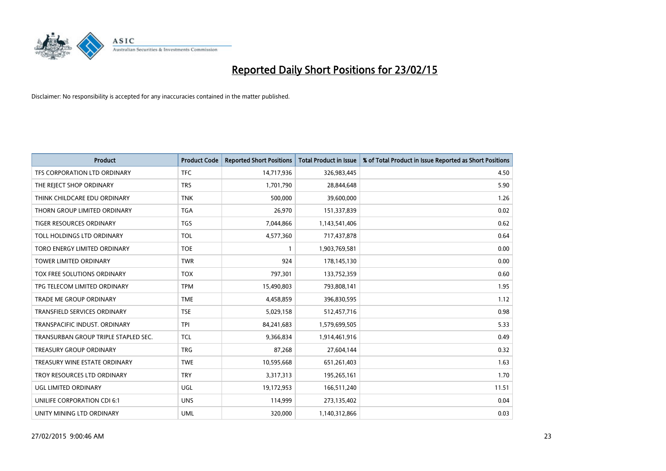

| <b>Product</b>                       | <b>Product Code</b> | <b>Reported Short Positions</b> | <b>Total Product in Issue</b> | % of Total Product in Issue Reported as Short Positions |
|--------------------------------------|---------------------|---------------------------------|-------------------------------|---------------------------------------------------------|
| TFS CORPORATION LTD ORDINARY         | <b>TFC</b>          | 14,717,936                      | 326,983,445                   | 4.50                                                    |
| THE REJECT SHOP ORDINARY             | <b>TRS</b>          | 1,701,790                       | 28,844,648                    | 5.90                                                    |
| THINK CHILDCARE EDU ORDINARY         | <b>TNK</b>          | 500,000                         | 39,600,000                    | 1.26                                                    |
| THORN GROUP LIMITED ORDINARY         | <b>TGA</b>          | 26,970                          | 151,337,839                   | 0.02                                                    |
| <b>TIGER RESOURCES ORDINARY</b>      | <b>TGS</b>          | 7,044,866                       | 1,143,541,406                 | 0.62                                                    |
| TOLL HOLDINGS LTD ORDINARY           | <b>TOL</b>          | 4,577,360                       | 717,437,878                   | 0.64                                                    |
| TORO ENERGY LIMITED ORDINARY         | <b>TOE</b>          | $\mathbf{1}$                    | 1,903,769,581                 | 0.00                                                    |
| TOWER LIMITED ORDINARY               | <b>TWR</b>          | 924                             | 178,145,130                   | 0.00                                                    |
| TOX FREE SOLUTIONS ORDINARY          | <b>TOX</b>          | 797,301                         | 133,752,359                   | 0.60                                                    |
| TPG TELECOM LIMITED ORDINARY         | <b>TPM</b>          | 15,490,803                      | 793,808,141                   | 1.95                                                    |
| TRADE ME GROUP ORDINARY              | <b>TME</b>          | 4,458,859                       | 396,830,595                   | 1.12                                                    |
| <b>TRANSFIELD SERVICES ORDINARY</b>  | <b>TSE</b>          | 5,029,158                       | 512,457,716                   | 0.98                                                    |
| TRANSPACIFIC INDUST. ORDINARY        | <b>TPI</b>          | 84,241,683                      | 1,579,699,505                 | 5.33                                                    |
| TRANSURBAN GROUP TRIPLE STAPLED SEC. | <b>TCL</b>          | 9,366,834                       | 1,914,461,916                 | 0.49                                                    |
| <b>TREASURY GROUP ORDINARY</b>       | <b>TRG</b>          | 87,268                          | 27,604,144                    | 0.32                                                    |
| TREASURY WINE ESTATE ORDINARY        | <b>TWE</b>          | 10,595,668                      | 651,261,403                   | 1.63                                                    |
| TROY RESOURCES LTD ORDINARY          | <b>TRY</b>          | 3,317,313                       | 195,265,161                   | 1.70                                                    |
| UGL LIMITED ORDINARY                 | UGL                 | 19,172,953                      | 166,511,240                   | 11.51                                                   |
| UNILIFE CORPORATION CDI 6:1          | <b>UNS</b>          | 114,999                         | 273,135,402                   | 0.04                                                    |
| UNITY MINING LTD ORDINARY            | <b>UML</b>          | 320,000                         | 1,140,312,866                 | 0.03                                                    |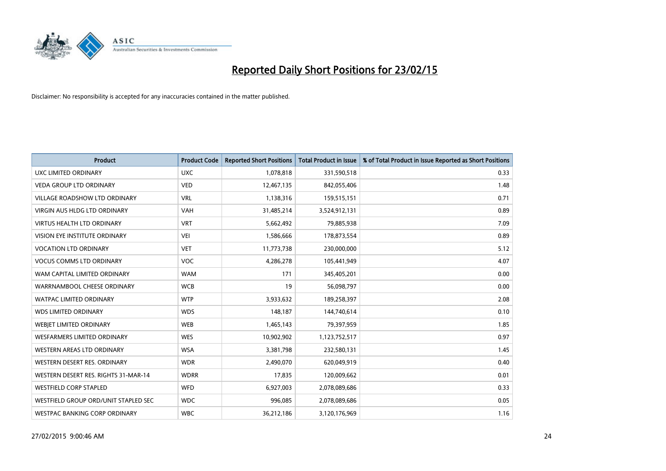

| <b>Product</b>                       | <b>Product Code</b> | <b>Reported Short Positions</b> | <b>Total Product in Issue</b> | % of Total Product in Issue Reported as Short Positions |
|--------------------------------------|---------------------|---------------------------------|-------------------------------|---------------------------------------------------------|
| UXC LIMITED ORDINARY                 | <b>UXC</b>          | 1,078,818                       | 331,590,518                   | 0.33                                                    |
| <b>VEDA GROUP LTD ORDINARY</b>       | <b>VED</b>          | 12,467,135                      | 842,055,406                   | 1.48                                                    |
| <b>VILLAGE ROADSHOW LTD ORDINARY</b> | <b>VRL</b>          | 1,138,316                       | 159,515,151                   | 0.71                                                    |
| <b>VIRGIN AUS HLDG LTD ORDINARY</b>  | <b>VAH</b>          | 31,485,214                      | 3,524,912,131                 | 0.89                                                    |
| <b>VIRTUS HEALTH LTD ORDINARY</b>    | <b>VRT</b>          | 5,662,492                       | 79,885,938                    | 7.09                                                    |
| <b>VISION EYE INSTITUTE ORDINARY</b> | <b>VEI</b>          | 1,586,666                       | 178,873,554                   | 0.89                                                    |
| <b>VOCATION LTD ORDINARY</b>         | <b>VET</b>          | 11,773,738                      | 230,000,000                   | 5.12                                                    |
| <b>VOCUS COMMS LTD ORDINARY</b>      | VOC                 | 4,286,278                       | 105,441,949                   | 4.07                                                    |
| WAM CAPITAL LIMITED ORDINARY         | <b>WAM</b>          | 171                             | 345,405,201                   | 0.00                                                    |
| WARRNAMBOOL CHEESE ORDINARY          | <b>WCB</b>          | 19                              | 56,098,797                    | 0.00                                                    |
| WATPAC LIMITED ORDINARY              | <b>WTP</b>          | 3,933,632                       | 189,258,397                   | 2.08                                                    |
| <b>WDS LIMITED ORDINARY</b>          | <b>WDS</b>          | 148,187                         | 144,740,614                   | 0.10                                                    |
| WEBJET LIMITED ORDINARY              | <b>WEB</b>          | 1,465,143                       | 79,397,959                    | 1.85                                                    |
| <b>WESFARMERS LIMITED ORDINARY</b>   | <b>WES</b>          | 10,902,902                      | 1,123,752,517                 | 0.97                                                    |
| WESTERN AREAS LTD ORDINARY           | <b>WSA</b>          | 3,381,798                       | 232,580,131                   | 1.45                                                    |
| WESTERN DESERT RES. ORDINARY         | <b>WDR</b>          | 2,490,070                       | 620,049,919                   | 0.40                                                    |
| WESTERN DESERT RES. RIGHTS 31-MAR-14 | <b>WDRR</b>         | 17,835                          | 120,009,662                   | 0.01                                                    |
| <b>WESTFIELD CORP STAPLED</b>        | <b>WFD</b>          | 6,927,003                       | 2,078,089,686                 | 0.33                                                    |
| WESTFIELD GROUP ORD/UNIT STAPLED SEC | <b>WDC</b>          | 996,085                         | 2,078,089,686                 | 0.05                                                    |
| WESTPAC BANKING CORP ORDINARY        | <b>WBC</b>          | 36,212,186                      | 3,120,176,969                 | 1.16                                                    |